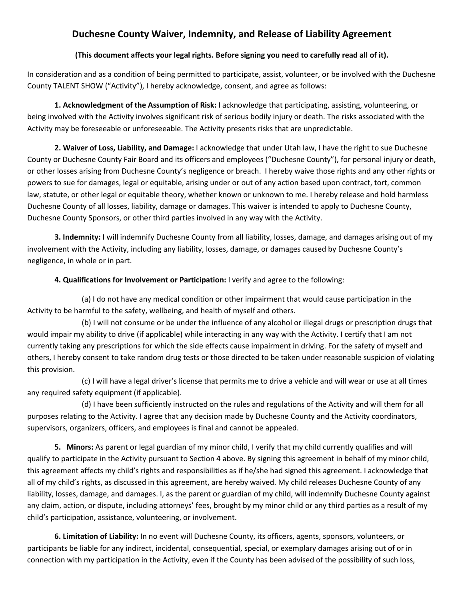## **Duchesne County Waiver, Indemnity, and Release of Liability Agreement**

## **(This document affects your legal rights. Before signing you need to carefully read all of it).**

In consideration and as a condition of being permitted to participate, assist, volunteer, or be involved with the Duchesne County TALENT SHOW ("Activity"), I hereby acknowledge, consent, and agree as follows:

**1. Acknowledgment of the Assumption of Risk:** I acknowledge that participating, assisting, volunteering, or being involved with the Activity involves significant risk of serious bodily injury or death. The risks associated with the Activity may be foreseeable or unforeseeable. The Activity presents risks that are unpredictable.

**2. Waiver of Loss, Liability, and Damage:** I acknowledge that under Utah law, I have the right to sue Duchesne County or Duchesne County Fair Board and its officers and employees ("Duchesne County"), for personal injury or death, or other losses arising from Duchesne County's negligence or breach. I hereby waive those rights and any other rights or powers to sue for damages, legal or equitable, arising under or out of any action based upon contract, tort, common law, statute, or other legal or equitable theory, whether known or unknown to me. I hereby release and hold harmless Duchesne County of all losses, liability, damage or damages. This waiver is intended to apply to Duchesne County, Duchesne County Sponsors, or other third parties involved in any way with the Activity.

**3. Indemnity:** I will indemnify Duchesne County from all liability, losses, damage, and damages arising out of my involvement with the Activity, including any liability, losses, damage, or damages caused by Duchesne County's negligence, in whole or in part.

## **4. Qualifications for Involvement or Participation:** I verify and agree to the following:

(a) I do not have any medical condition or other impairment that would cause participation in the Activity to be harmful to the safety, wellbeing, and health of myself and others.

(b) I will not consume or be under the influence of any alcohol or illegal drugs or prescription drugs that would impair my ability to drive (if applicable) while interacting in any way with the Activity. I certify that I am not currently taking any prescriptions for which the side effects cause impairment in driving. For the safety of myself and others, I hereby consent to take random drug tests or those directed to be taken under reasonable suspicion of violating this provision.

(c) I will have a legal driver's license that permits me to drive a vehicle and will wear or use at all times any required safety equipment (if applicable).

(d) I have been sufficiently instructed on the rules and regulations of the Activity and will them for all purposes relating to the Activity. I agree that any decision made by Duchesne County and the Activity coordinators, supervisors, organizers, officers, and employees is final and cannot be appealed.

**5. Minors:** As parent or legal guardian of my minor child, I verify that my child currently qualifies and will qualify to participate in the Activity pursuant to Section 4 above. By signing this agreement in behalf of my minor child, this agreement affects my child's rights and responsibilities as if he/she had signed this agreement. I acknowledge that all of my child's rights, as discussed in this agreement, are hereby waived. My child releases Duchesne County of any liability, losses, damage, and damages. I, as the parent or guardian of my child, will indemnify Duchesne County against any claim, action, or dispute, including attorneys' fees, brought by my minor child or any third parties as a result of my child's participation, assistance, volunteering, or involvement.

**6. Limitation of Liability:** In no event will Duchesne County, its officers, agents, sponsors, volunteers, or participants be liable for any indirect, incidental, consequential, special, or exemplary damages arising out of or in connection with my participation in the Activity, even if the County has been advised of the possibility of such loss,